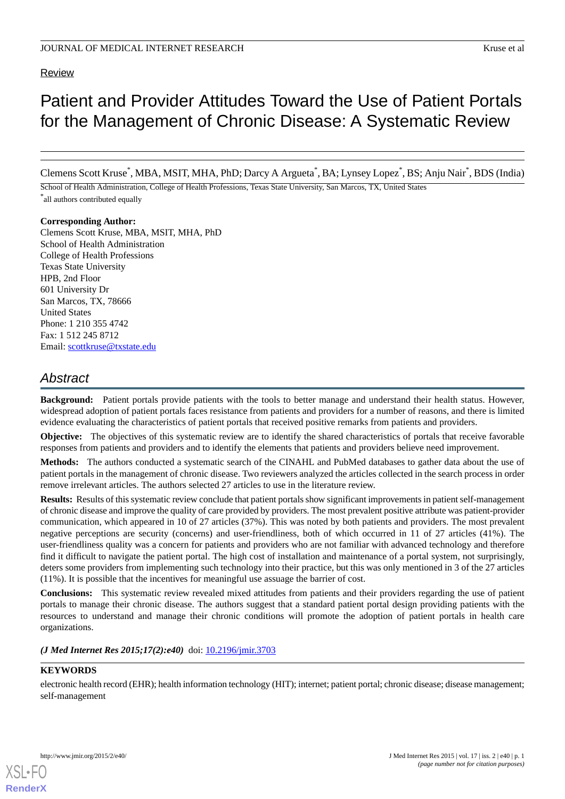# Review

# Patient and Provider Attitudes Toward the Use of Patient Portals for the Management of Chronic Disease: A Systematic Review

Clemens Scott Kruse<sup>\*</sup>, MBA, MSIT, MHA, PhD; Darcy A Argueta<sup>\*</sup>, BA; Lynsey Lopez<sup>\*</sup>, BS; Anju Nair<sup>\*</sup>, BDS (India)

School of Health Administration, College of Health Professions, Texas State University, San Marcos, TX, United States \* all authors contributed equally

# **Corresponding Author:**

Clemens Scott Kruse, MBA, MSIT, MHA, PhD School of Health Administration College of Health Professions Texas State University HPB, 2nd Floor 601 University Dr San Marcos, TX, 78666 United States Phone: 1 210 355 4742 Fax: 1 512 245 8712 Email: [scottkruse@txstate.edu](mailto:scottkruse@txstate.edu)

# *Abstract*

**Background:** Patient portals provide patients with the tools to better manage and understand their health status. However, widespread adoption of patient portals faces resistance from patients and providers for a number of reasons, and there is limited evidence evaluating the characteristics of patient portals that received positive remarks from patients and providers.

**Objective:** The objectives of this systematic review are to identify the shared characteristics of portals that receive favorable responses from patients and providers and to identify the elements that patients and providers believe need improvement.

**Methods:** The authors conducted a systematic search of the CINAHL and PubMed databases to gather data about the use of patient portals in the management of chronic disease. Two reviewers analyzed the articles collected in the search process in order remove irrelevant articles. The authors selected 27 articles to use in the literature review.

**Results:** Results of this systematic review conclude that patient portals show significant improvements in patient self-management of chronic disease and improve the quality of care provided by providers. The most prevalent positive attribute was patient-provider communication, which appeared in 10 of 27 articles (37%). This was noted by both patients and providers. The most prevalent negative perceptions are security (concerns) and user-friendliness, both of which occurred in 11 of 27 articles (41%). The user-friendliness quality was a concern for patients and providers who are not familiar with advanced technology and therefore find it difficult to navigate the patient portal. The high cost of installation and maintenance of a portal system, not surprisingly, deters some providers from implementing such technology into their practice, but this was only mentioned in 3 of the 27 articles (11%). It is possible that the incentives for meaningful use assuage the barrier of cost.

**Conclusions:** This systematic review revealed mixed attitudes from patients and their providers regarding the use of patient portals to manage their chronic disease. The authors suggest that a standard patient portal design providing patients with the resources to understand and manage their chronic conditions will promote the adoption of patient portals in health care organizations.

*(J Med Internet Res 2015;17(2):e40)* doi:  $10.2196/$ jmir.3703

# **KEYWORDS**

electronic health record (EHR); health information technology (HIT); internet; patient portal; chronic disease; disease management; self-management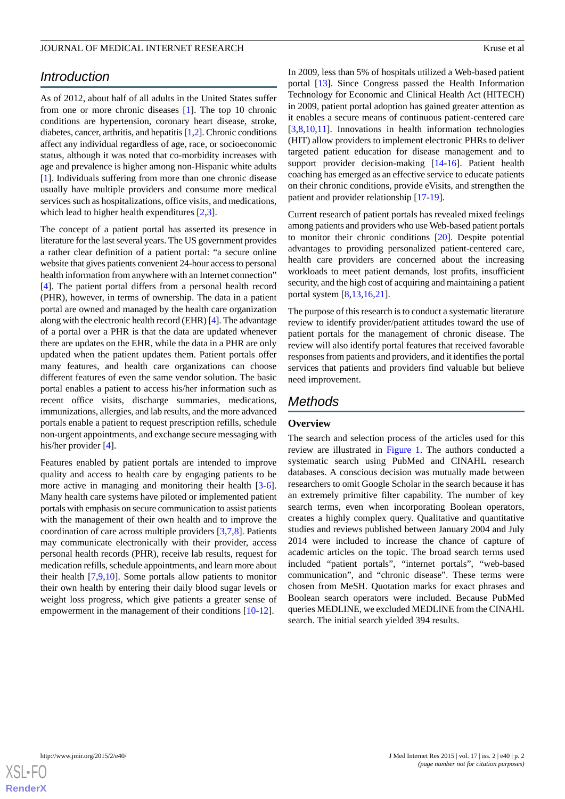# *Introduction*

As of 2012, about half of all adults in the United States suffer from one or more chronic diseases [\[1](#page-7-0)]. The top 10 chronic conditions are hypertension, coronary heart disease, stroke, diabetes, cancer, arthritis, and hepatitis [[1](#page-7-0),[2\]](#page-7-1). Chronic conditions affect any individual regardless of age, race, or socioeconomic status, although it was noted that co-morbidity increases with age and prevalence is higher among non-Hispanic white adults [[1\]](#page-7-0). Individuals suffering from more than one chronic disease usually have multiple providers and consume more medical services such as hospitalizations, office visits, and medications, which lead to higher health expenditures [[2,](#page-7-1)[3](#page-7-2)].

The concept of a patient portal has asserted its presence in literature for the last several years. The US government provides a rather clear definition of a patient portal: "a secure online website that gives patients convenient 24-hour access to personal health information from anywhere with an Internet connection" [[4\]](#page-7-3). The patient portal differs from a personal health record (PHR), however, in terms of ownership. The data in a patient portal are owned and managed by the health care organization along with the electronic health record (EHR) [[4\]](#page-7-3). The advantage of a portal over a PHR is that the data are updated whenever there are updates on the EHR, while the data in a PHR are only updated when the patient updates them. Patient portals offer many features, and health care organizations can choose different features of even the same vendor solution. The basic portal enables a patient to access his/her information such as recent office visits, discharge summaries, medications, immunizations, allergies, and lab results, and the more advanced portals enable a patient to request prescription refills, schedule non-urgent appointments, and exchange secure messaging with his/her provider [[4\]](#page-7-3).

Features enabled by patient portals are intended to improve quality and access to health care by engaging patients to be more active in managing and monitoring their health [\[3-](#page-7-2)[6\]](#page-7-4). Many health care systems have piloted or implemented patient portals with emphasis on secure communication to assist patients with the management of their own health and to improve the coordination of care across multiple providers [[3](#page-7-2)[,7](#page-7-5),[8\]](#page-7-6). Patients may communicate electronically with their provider, access personal health records (PHR), receive lab results, request for medication refills, schedule appointments, and learn more about their health [\[7](#page-7-5),[9](#page-8-0)[,10](#page-8-1)]. Some portals allow patients to monitor their own health by entering their daily blood sugar levels or weight loss progress, which give patients a greater sense of empowerment in the management of their conditions [[10-](#page-8-1)[12](#page-8-2)].

In 2009, less than 5% of hospitals utilized a Web-based patient portal [\[13](#page-8-3)]. Since Congress passed the Health Information Technology for Economic and Clinical Health Act (HITECH) in 2009, patient portal adoption has gained greater attention as it enables a secure means of continuous patient-centered care [[3](#page-7-2)[,8,](#page-7-6)[10](#page-8-1)[,11](#page-8-4)]. Innovations in health information technologies (HIT) allow providers to implement electronic PHRs to deliver targeted patient education for disease management and to support provider decision-making [[14](#page-8-5)[-16](#page-8-6)]. Patient health coaching has emerged as an effective service to educate patients on their chronic conditions, provide eVisits, and strengthen the patient and provider relationship [[17-](#page-8-7)[19\]](#page-8-8).

Current research of patient portals has revealed mixed feelings among patients and providers who use Web-based patient portals to monitor their chronic conditions [\[20](#page-8-9)]. Despite potential advantages to providing personalized patient-centered care, health care providers are concerned about the increasing workloads to meet patient demands, lost profits, insufficient security, and the high cost of acquiring and maintaining a patient portal system [\[8](#page-7-6),[13,](#page-8-3)[16](#page-8-6),[21\]](#page-8-10).

The purpose of this research is to conduct a systematic literature review to identify provider/patient attitudes toward the use of patient portals for the management of chronic disease. The review will also identify portal features that received favorable responses from patients and providers, and it identifies the portal services that patients and providers find valuable but believe need improvement.

# *Methods*

# **Overview**

The search and selection process of the articles used for this review are illustrated in [Figure 1.](#page-2-0) The authors conducted a systematic search using PubMed and CINAHL research databases. A conscious decision was mutually made between researchers to omit Google Scholar in the search because it has an extremely primitive filter capability. The number of key search terms, even when incorporating Boolean operators, creates a highly complex query. Qualitative and quantitative studies and reviews published between January 2004 and July 2014 were included to increase the chance of capture of academic articles on the topic. The broad search terms used included "patient portals", "internet portals", "web-based communication", and "chronic disease". These terms were chosen from MeSH. Quotation marks for exact phrases and Boolean search operators were included. Because PubMed queries MEDLINE, we excluded MEDLINE from the CINAHL search. The initial search yielded 394 results.

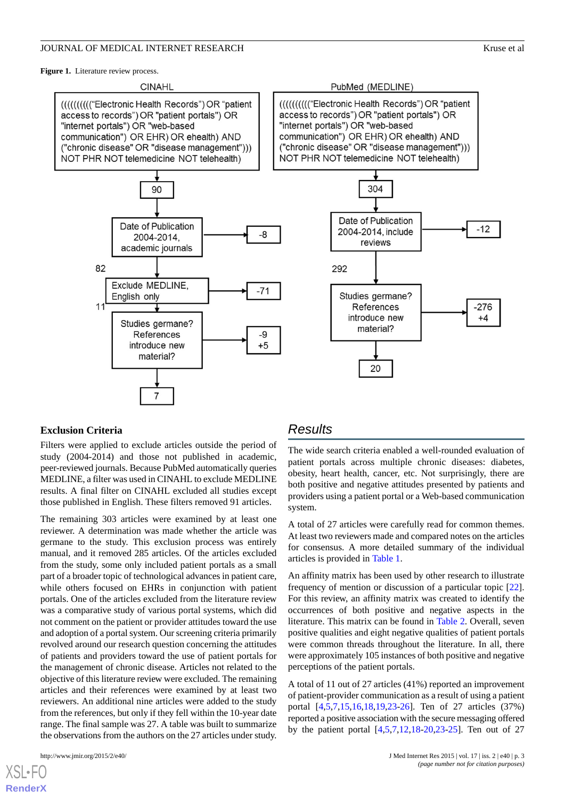<span id="page-2-0"></span>Figure 1. Literature review process.







# **Exclusion Criteria**

Filters were applied to exclude articles outside the period of study (2004-2014) and those not published in academic, peer-reviewed journals. Because PubMed automatically queries MEDLINE, a filter was used in CINAHL to exclude MEDLINE results. A final filter on CINAHL excluded all studies except those published in English. These filters removed 91 articles.

The remaining 303 articles were examined by at least one reviewer. A determination was made whether the article was germane to the study. This exclusion process was entirely manual, and it removed 285 articles. Of the articles excluded from the study, some only included patient portals as a small part of a broader topic of technological advances in patient care, while others focused on EHRs in conjunction with patient portals. One of the articles excluded from the literature review was a comparative study of various portal systems, which did not comment on the patient or provider attitudes toward the use and adoption of a portal system. Our screening criteria primarily revolved around our research question concerning the attitudes of patients and providers toward the use of patient portals for the management of chronic disease. Articles not related to the objective of this literature review were excluded. The remaining articles and their references were examined by at least two reviewers. An additional nine articles were added to the study from the references, but only if they fell within the 10-year date range. The final sample was 27. A table was built to summarize the observations from the authors on the 27 articles under study.

[XSL](http://www.w3.org/Style/XSL)•FO **[RenderX](http://www.renderx.com/)**

# *Results*

The wide search criteria enabled a well-rounded evaluation of patient portals across multiple chronic diseases: diabetes, obesity, heart health, cancer, etc. Not surprisingly, there are both positive and negative attitudes presented by patients and providers using a patient portal or a Web-based communication system.

A total of 27 articles were carefully read for common themes. At least two reviewers made and compared notes on the articles for consensus. A more detailed summary of the individual articles is provided in [Table 1.](#page-4-0)

An affinity matrix has been used by other research to illustrate frequency of mention or discussion of a particular topic [[22\]](#page-8-11). For this review, an affinity matrix was created to identify the occurrences of both positive and negative aspects in the literature. This matrix can be found in [Table 2.](#page-6-0) Overall, seven positive qualities and eight negative qualities of patient portals were common threads throughout the literature. In all, there were approximately 105 instances of both positive and negative perceptions of the patient portals.

A total of 11 out of 27 articles (41%) reported an improvement of patient-provider communication as a result of using a patient portal [[4](#page-7-3)[,5](#page-7-7),[7](#page-7-5)[,15](#page-8-12),[16](#page-8-6)[,18](#page-8-13),[19](#page-8-8)[,23](#page-8-14)-[26\]](#page-8-15). Ten of 27 articles (37%) reported a positive association with the secure messaging offered by the patient portal [\[4](#page-7-3),[5](#page-7-7)[,7](#page-7-5),[12](#page-8-2)[,18](#page-8-13)-[20,](#page-8-9)[23](#page-8-14)[-25](#page-8-16)]. Ten out of 27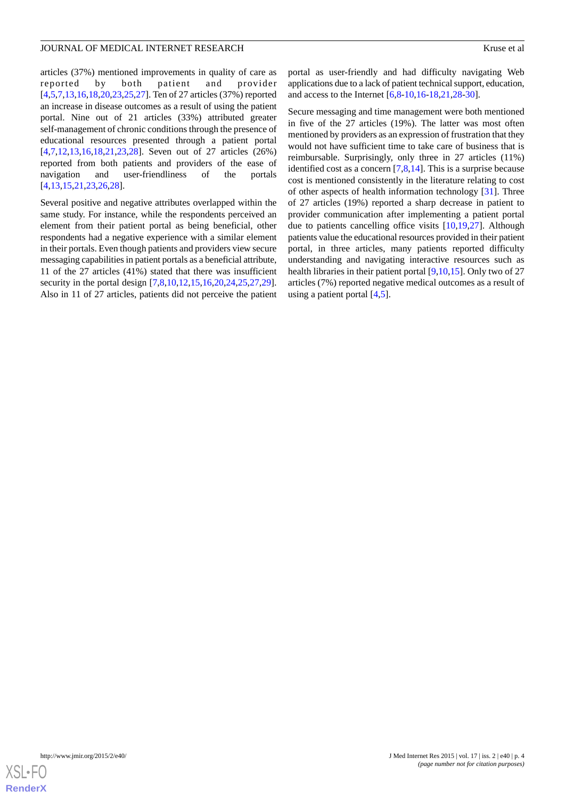articles (37%) mentioned improvements in quality of care as reported by both patient and provider [[4](#page-7-3)[,5](#page-7-7),[7](#page-7-5)[,13](#page-8-3),[16](#page-8-6)[,18](#page-8-13),[20](#page-8-9)[,23](#page-8-14),[25](#page-8-16)[,27](#page-8-17)]. Ten of 27 articles (37%) reported an increase in disease outcomes as a result of using the patient portal. Nine out of 21 articles (33%) attributed greater self-management of chronic conditions through the presence of educational resources presented through a patient portal [[4](#page-7-3)[,7](#page-7-5),[12](#page-8-2)[,13](#page-8-3),[16](#page-8-6)[,18](#page-8-13),[21](#page-8-10)[,23](#page-8-14),[28\]](#page-8-18). Seven out of 27 articles (26%) reported from both patients and providers of the ease of navigation and user-friendliness of the portals [[4](#page-7-3)[,13](#page-8-3),[15](#page-8-12)[,21](#page-8-10),[23](#page-8-14)[,26](#page-8-15),[28\]](#page-8-18).

Several positive and negative attributes overlapped within the same study. For instance, while the respondents perceived an element from their patient portal as being beneficial, other respondents had a negative experience with a similar element in their portals. Even though patients and providers view secure messaging capabilities in patient portals as a beneficial attribute, 11 of the 27 articles (41%) stated that there was insufficient security in the portal design  $[7,8,10,12,15,16,20,24,25,27,29]$  $[7,8,10,12,15,16,20,24,25,27,29]$  $[7,8,10,12,15,16,20,24,25,27,29]$  $[7,8,10,12,15,16,20,24,25,27,29]$  $[7,8,10,12,15,16,20,24,25,27,29]$  $[7,8,10,12,15,16,20,24,25,27,29]$  $[7,8,10,12,15,16,20,24,25,27,29]$  $[7,8,10,12,15,16,20,24,25,27,29]$  $[7,8,10,12,15,16,20,24,25,27,29]$  $[7,8,10,12,15,16,20,24,25,27,29]$  $[7,8,10,12,15,16,20,24,25,27,29]$  $[7,8,10,12,15,16,20,24,25,27,29]$  $[7,8,10,12,15,16,20,24,25,27,29]$  $[7,8,10,12,15,16,20,24,25,27,29]$  $[7,8,10,12,15,16,20,24,25,27,29]$  $[7,8,10,12,15,16,20,24,25,27,29]$  $[7,8,10,12,15,16,20,24,25,27,29]$ . Also in 11 of 27 articles, patients did not perceive the patient portal as user-friendly and had difficulty navigating Web applications due to a lack of patient technical support, education, and access to the Internet [\[6,](#page-7-4)[8](#page-7-6)[-10](#page-8-1),[16](#page-8-6)[-18](#page-8-13),[21,](#page-8-10)[28](#page-8-18)[-30](#page-8-21)].

Secure messaging and time management were both mentioned in five of the 27 articles (19%). The latter was most often mentioned by providers as an expression of frustration that they would not have sufficient time to take care of business that is reimbursable. Surprisingly, only three in 27 articles (11%) identified cost as a concern  $[7,8,14]$  $[7,8,14]$  $[7,8,14]$  $[7,8,14]$  $[7,8,14]$ . This is a surprise because cost is mentioned consistently in the literature relating to cost of other aspects of health information technology [\[31](#page-9-0)]. Three of 27 articles (19%) reported a sharp decrease in patient to provider communication after implementing a patient portal due to patients cancelling office visits [\[10](#page-8-1)[,19](#page-8-8)[,27](#page-8-17)]. Although patients value the educational resources provided in their patient portal, in three articles, many patients reported difficulty understanding and navigating interactive resources such as health libraries in their patient portal [[9,](#page-8-0)[10](#page-8-1),[15\]](#page-8-12). Only two of 27 articles (7%) reported negative medical outcomes as a result of using a patient portal [[4,](#page-7-3)[5](#page-7-7)].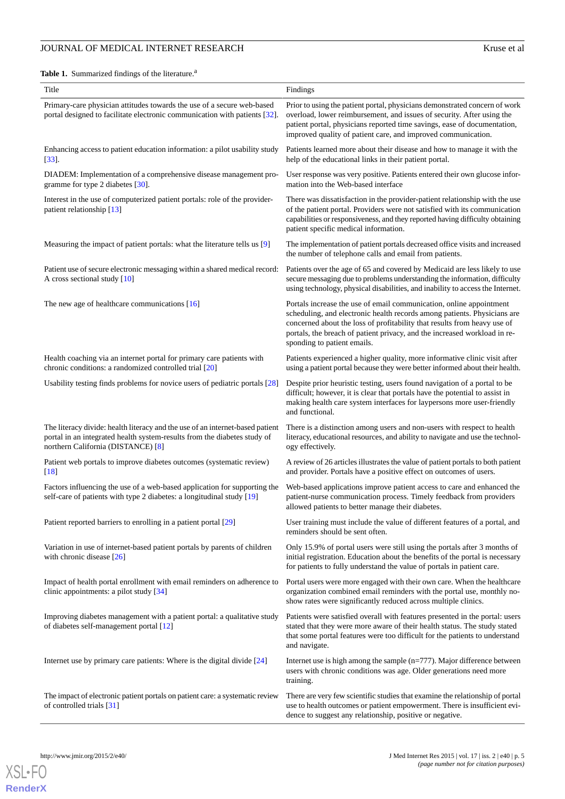# **JOURNAL OF MEDICAL INTERNET RESEARCH** Kruse et al.

<span id="page-4-0"></span>Table 1. Summarized findings of the literature.<sup>a</sup>

| Title                                                                                                                                                                                           | Findings                                                                                                                                                                                                                                                                                                                                |  |
|-------------------------------------------------------------------------------------------------------------------------------------------------------------------------------------------------|-----------------------------------------------------------------------------------------------------------------------------------------------------------------------------------------------------------------------------------------------------------------------------------------------------------------------------------------|--|
| Primary-care physician attitudes towards the use of a secure web-based<br>portal designed to facilitate electronic communication with patients [32].                                            | Prior to using the patient portal, physicians demonstrated concern of work<br>overload, lower reimbursement, and issues of security. After using the<br>patient portal, physicians reported time savings, ease of documentation,<br>improved quality of patient care, and improved communication.                                       |  |
| Enhancing access to patient education information: a pilot usability study<br>$[33]$ .                                                                                                          | Patients learned more about their disease and how to manage it with the<br>help of the educational links in their patient portal.                                                                                                                                                                                                       |  |
| DIADEM: Implementation of a comprehensive disease management pro-<br>gramme for type 2 diabetes [30].                                                                                           | User response was very positive. Patients entered their own glucose infor-<br>mation into the Web-based interface                                                                                                                                                                                                                       |  |
| Interest in the use of computerized patient portals: role of the provider-<br>patient relationship [13]                                                                                         | There was dissatisfaction in the provider-patient relationship with the use<br>of the patient portal. Providers were not satisfied with its communication<br>capabilities or responsiveness, and they reported having difficulty obtaining<br>patient specific medical information.                                                     |  |
| Measuring the impact of patient portals: what the literature tells us [9]                                                                                                                       | The implementation of patient portals decreased office visits and increased<br>the number of telephone calls and email from patients.                                                                                                                                                                                                   |  |
| Patient use of secure electronic messaging within a shared medical record:<br>A cross sectional study [10]                                                                                      | Patients over the age of 65 and covered by Medicaid are less likely to use<br>secure messaging due to problems understanding the information, difficulty<br>using technology, physical disabilities, and inability to access the Internet.                                                                                              |  |
| The new age of healthcare communications $[16]$                                                                                                                                                 | Portals increase the use of email communication, online appointment<br>scheduling, and electronic health records among patients. Physicians are<br>concerned about the loss of profitability that results from heavy use of<br>portals, the breach of patient privacy, and the increased workload in re-<br>sponding to patient emails. |  |
| Health coaching via an internet portal for primary care patients with<br>chronic conditions: a randomized controlled trial [20]                                                                 | Patients experienced a higher quality, more informative clinic visit after<br>using a patient portal because they were better informed about their health.                                                                                                                                                                              |  |
| Usability testing finds problems for novice users of pediatric portals [28]                                                                                                                     | Despite prior heuristic testing, users found navigation of a portal to be<br>difficult; however, it is clear that portals have the potential to assist in<br>making health care system interfaces for laypersons more user-friendly<br>and functional.                                                                                  |  |
| The literacy divide: health literacy and the use of an internet-based patient<br>portal in an integrated health system-results from the diabetes study of<br>northern California (DISTANCE) [8] | There is a distinction among users and non-users with respect to health<br>literacy, educational resources, and ability to navigate and use the technol-<br>ogy effectively.                                                                                                                                                            |  |
| Patient web portals to improve diabetes outcomes (systematic review)<br>$[18]$                                                                                                                  | A review of 26 articles illustrates the value of patient portals to both patient<br>and provider. Portals have a positive effect on outcomes of users.                                                                                                                                                                                  |  |
| Factors influencing the use of a web-based application for supporting the<br>self-care of patients with type 2 diabetes: a longitudinal study [19]                                              | Web-based applications improve patient access to care and enhanced the<br>patient-nurse communication process. Timely feedback from providers<br>allowed patients to better manage their diabetes.                                                                                                                                      |  |
| Patient reported barriers to enrolling in a patient portal [29]                                                                                                                                 | User training must include the value of different features of a portal, and<br>reminders should be sent often.                                                                                                                                                                                                                          |  |
| Variation in use of internet-based patient portals by parents of children<br>with chronic disease $[26]$                                                                                        | Only 15.9% of portal users were still using the portals after 3 months of<br>initial registration. Education about the benefits of the portal is necessary<br>for patients to fully understand the value of portals in patient care.                                                                                                    |  |
| Impact of health portal enrollment with email reminders on adherence to<br>clinic appointments: a pilot study [34]                                                                              | Portal users were more engaged with their own care. When the healthcare<br>organization combined email reminders with the portal use, monthly no-<br>show rates were significantly reduced across multiple clinics.                                                                                                                     |  |
| Improving diabetes management with a patient portal: a qualitative study<br>of diabetes self-management portal [12]                                                                             | Patients were satisfied overall with features presented in the portal: users<br>stated that they were more aware of their health status. The study stated<br>that some portal features were too difficult for the patients to understand<br>and navigate.                                                                               |  |
| Internet use by primary care patients: Where is the digital divide $[24]$                                                                                                                       | Internet use is high among the sample $(n=777)$ . Major difference between<br>users with chronic conditions was age. Older generations need more<br>training.                                                                                                                                                                           |  |
| The impact of electronic patient portals on patient care: a systematic review<br>of controlled trials [31]                                                                                      | There are very few scientific studies that examine the relationship of portal<br>use to health outcomes or patient empowerment. There is insufficient evi-<br>dence to suggest any relationship, positive or negative.                                                                                                                  |  |

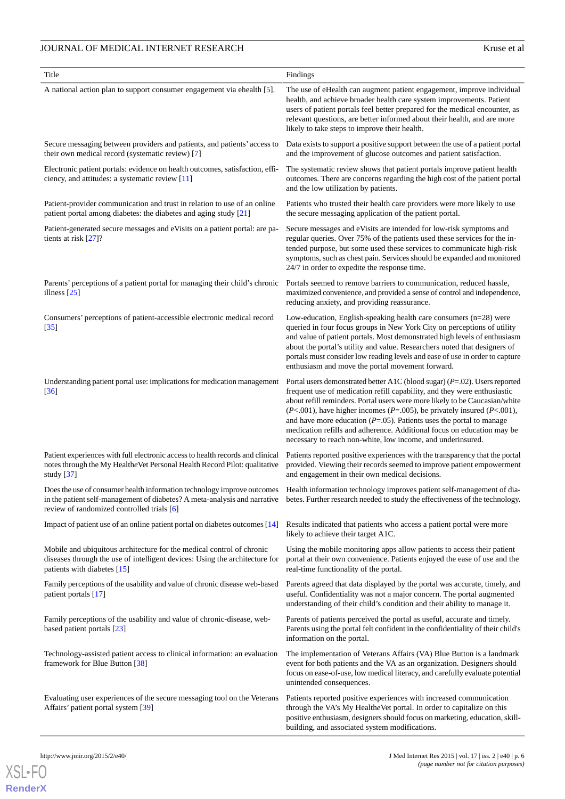# **JOURNAL OF MEDICAL INTERNET RESEARCH** Kruse et al.

| Title                                                                                                                                                                                                                                                                                                                                                  | Findings                                                                                                                                                                                                                                                                                                                                                                                                                                                                                                                                          |  |
|--------------------------------------------------------------------------------------------------------------------------------------------------------------------------------------------------------------------------------------------------------------------------------------------------------------------------------------------------------|---------------------------------------------------------------------------------------------------------------------------------------------------------------------------------------------------------------------------------------------------------------------------------------------------------------------------------------------------------------------------------------------------------------------------------------------------------------------------------------------------------------------------------------------------|--|
| A national action plan to support consumer engagement via ehealth [5].                                                                                                                                                                                                                                                                                 | The use of eHealth can augment patient engagement, improve individual<br>health, and achieve broader health care system improvements. Patient<br>users of patient portals feel better prepared for the medical encounter, as<br>relevant questions, are better informed about their health, and are more<br>likely to take steps to improve their health.                                                                                                                                                                                         |  |
| Secure messaging between providers and patients, and patients' access to<br>their own medical record (systematic review) [7]                                                                                                                                                                                                                           | Data exists to support a positive support between the use of a patient portal<br>and the improvement of glucose outcomes and patient satisfaction.                                                                                                                                                                                                                                                                                                                                                                                                |  |
| Electronic patient portals: evidence on health outcomes, satisfaction, effi-<br>ciency, and attitudes: a systematic review [11]                                                                                                                                                                                                                        | The systematic review shows that patient portals improve patient health<br>outcomes. There are concerns regarding the high cost of the patient portal<br>and the low utilization by patients.                                                                                                                                                                                                                                                                                                                                                     |  |
| Patient-provider communication and trust in relation to use of an online<br>patient portal among diabetes: the diabetes and aging study [21]                                                                                                                                                                                                           | Patients who trusted their health care providers were more likely to use<br>the secure messaging application of the patient portal.                                                                                                                                                                                                                                                                                                                                                                                                               |  |
| Patient-generated secure messages and eVisits on a patient portal: are pa-<br>tients at risk [27]?                                                                                                                                                                                                                                                     | Secure messages and eVisits are intended for low-risk symptoms and<br>regular queries. Over 75% of the patients used these services for the in-<br>tended purpose, but some used these services to communicate high-risk<br>symptoms, such as chest pain. Services should be expanded and monitored<br>24/7 in order to expedite the response time.                                                                                                                                                                                               |  |
| Parents' perceptions of a patient portal for managing their child's chronic<br>illness $[25]$                                                                                                                                                                                                                                                          | Portals seemed to remove barriers to communication, reduced hassle,<br>maximized convenience, and provided a sense of control and independence,<br>reducing anxiety, and providing reassurance.                                                                                                                                                                                                                                                                                                                                                   |  |
| Consumers' perceptions of patient-accessible electronic medical record<br>$[35]$                                                                                                                                                                                                                                                                       | Low-education, English-speaking health care consumers $(n=28)$ were<br>queried in four focus groups in New York City on perceptions of utility<br>and value of patient portals. Most demonstrated high levels of enthusiasm<br>about the portal's utility and value. Researchers noted that designers of<br>portals must consider low reading levels and ease of use in order to capture<br>enthusiasm and move the portal movement forward.                                                                                                      |  |
| Understanding patient portal use: implications for medication management<br>[36]                                                                                                                                                                                                                                                                       | Portal users demonstrated better A1C (blood sugar) $(P=.02)$ . Users reported<br>frequent use of medication refill capability, and they were enthusiastic<br>about refill reminders. Portal users were more likely to be Caucasian/white<br>$(P<.001)$ , have higher incomes $(P=.005)$ , be privately insured $(P<.001)$ ,<br>and have more education ( $P = .05$ ). Patients uses the portal to manage<br>medication refills and adherence. Additional focus on education may be<br>necessary to reach non-white, low income, and underinsured. |  |
| Patient experiences with full electronic access to health records and clinical<br>notes through the My Healthe Vet Personal Health Record Pilot: qualitative<br>study $[37]$                                                                                                                                                                           | Patients reported positive experiences with the transparency that the portal<br>provided. Viewing their records seemed to improve patient empowerment<br>and engagement in their own medical decisions.                                                                                                                                                                                                                                                                                                                                           |  |
| Does the use of consumer health information technology improve outcomes Health information technology improves patient self-management of dia-<br>in the patient self-management of diabetes? A meta-analysis and narrative betes. Further research needed to study the effectiveness of the technology.<br>review of randomized controlled trials [6] |                                                                                                                                                                                                                                                                                                                                                                                                                                                                                                                                                   |  |
| Impact of patient use of an online patient portal on diabetes outcomes [14]                                                                                                                                                                                                                                                                            | Results indicated that patients who access a patient portal were more<br>likely to achieve their target A1C.                                                                                                                                                                                                                                                                                                                                                                                                                                      |  |
| Mobile and ubiquitous architecture for the medical control of chronic<br>diseases through the use of intelligent devices: Using the architecture for<br>patients with diabetes [15]                                                                                                                                                                    | Using the mobile monitoring apps allow patients to access their patient<br>portal at their own convenience. Patients enjoyed the ease of use and the<br>real-time functionality of the portal.                                                                                                                                                                                                                                                                                                                                                    |  |
| Family perceptions of the usability and value of chronic disease web-based<br>patient portals [17]                                                                                                                                                                                                                                                     | Parents agreed that data displayed by the portal was accurate, timely, and<br>useful. Confidentiality was not a major concern. The portal augmented<br>understanding of their child's condition and their ability to manage it.                                                                                                                                                                                                                                                                                                                   |  |
| Family perceptions of the usability and value of chronic-disease, web-<br>based patient portals [23]                                                                                                                                                                                                                                                   | Parents of patients perceived the portal as useful, accurate and timely.<br>Parents using the portal felt confident in the confidentiality of their child's<br>information on the portal.                                                                                                                                                                                                                                                                                                                                                         |  |
| Technology-assisted patient access to clinical information: an evaluation<br>framework for Blue Button [38]                                                                                                                                                                                                                                            | The implementation of Veterans Affairs (VA) Blue Button is a landmark<br>event for both patients and the VA as an organization. Designers should<br>focus on ease-of-use, low medical literacy, and carefully evaluate potential<br>unintended consequences.                                                                                                                                                                                                                                                                                      |  |
| Evaluating user experiences of the secure messaging tool on the Veterans<br>Affairs' patient portal system [39]                                                                                                                                                                                                                                        | Patients reported positive experiences with increased communication<br>through the VA's My Healthe Vet portal. In order to capitalize on this<br>positive enthusiasm, designers should focus on marketing, education, skill-<br>building, and associated system modifications.                                                                                                                                                                                                                                                                    |  |



**[RenderX](http://www.renderx.com/)**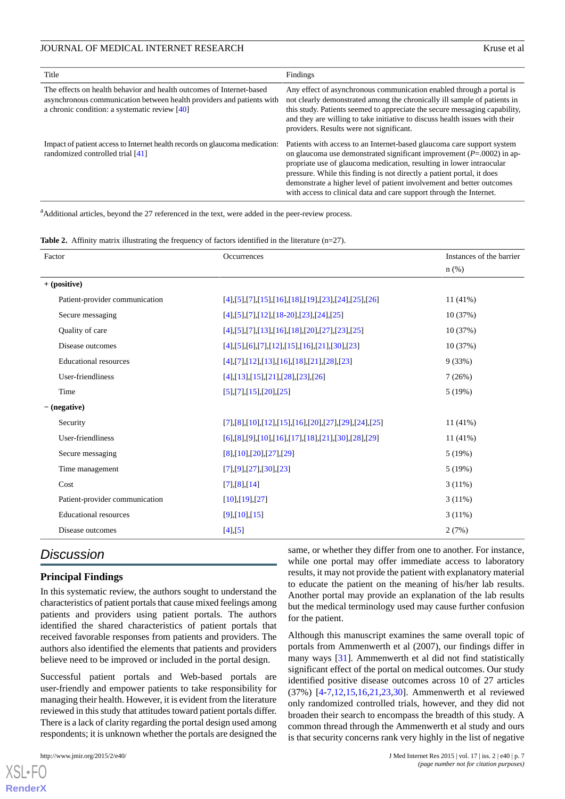| Title                                                                                                                                                                                            | Findings                                                                                                                                                                                                                                                                                                                                                                                                                                             |
|--------------------------------------------------------------------------------------------------------------------------------------------------------------------------------------------------|------------------------------------------------------------------------------------------------------------------------------------------------------------------------------------------------------------------------------------------------------------------------------------------------------------------------------------------------------------------------------------------------------------------------------------------------------|
| The effects on health behavior and health outcomes of Internet-based<br>asynchronous communication between health providers and patients with<br>a chronic condition: a systematic review $[40]$ | Any effect of asynchronous communication enabled through a portal is<br>not clearly demonstrated among the chronically ill sample of patients in<br>this study. Patients seemed to appreciate the secure messaging capability,<br>and they are willing to take initiative to discuss health issues with their<br>providers. Results were not significant.                                                                                            |
| Impact of patient access to Internet health records on glaucoma medication:<br>randomized controlled trial [41]                                                                                  | Patients with access to an Internet-based glaucoma care support system<br>on glaucoma use demonstrated significant improvement $(P=0.0002)$ in ap-<br>propriate use of glaucoma medication, resulting in lower intraocular<br>pressure. While this finding is not directly a patient portal, it does<br>demonstrate a higher level of patient involvement and better outcomes<br>with access to clinical data and care support through the Internet. |

<span id="page-6-0"></span><sup>a</sup>Additional articles, beyond the 27 referenced in the text, were added in the peer-review process.

**Table 2.** Affinity matrix illustrating the frequency of factors identified in the literature (n=27).

| Factor                         | <b>Occurrences</b>                                               | Instances of the barrier |
|--------------------------------|------------------------------------------------------------------|--------------------------|
|                                |                                                                  | $n$ (%)                  |
| $+$ (positive)                 |                                                                  |                          |
| Patient-provider communication | $[4], [5], [7], [15], [16], [18], [19], [23], [24], [25], [26]$  | $11(41\%)$               |
| Secure messaging               | $[4]$ , [5], [7], [12], [18-20], [23], [24], [25]                | 10(37%)                  |
| Quality of care                | $[4], [5], [7], [13], [16], [18], [20], [27], [23], [25]$        | 10 (37%)                 |
| Disease outcomes               | $[4],[5],[6],[7],[12],[15],[16],[21],[30],[23]$                  | 10(37%)                  |
| <b>Educational resources</b>   | $[4]$ , [7], [12], [13], [16], [18], [21], [28], [23]            | 9(33%)                   |
| User-friendliness              | $[4]$ , [13], [15], [21], [28], [23], [26]                       | 7(26%)                   |
| Time                           | [5],[7],[15],[20],[25]                                           | 5(19%)                   |
| $-(negative)$                  |                                                                  |                          |
| Security                       | $[7],[8],[10],[12],[15],[16],[20],[27],[29],[24],[25]$           | $11(41\%)$               |
| User-friendliness              | $[6]$ , [8], [9], [10], [16], [17], [18], [21], [30], [28], [29] | 11 (41%)                 |
| Secure messaging               | $[8]$ , [10], [20], [27], [29]                                   | 5(19%)                   |
| Time management                | [7],[9],[27],[30],[23]                                           | 5(19%)                   |
| Cost                           | [7],[8],[14]                                                     | 3(11%)                   |
| Patient-provider communication | [10],[19],[27]                                                   | 3(11%)                   |
| <b>Educational resources</b>   | [9],[10],[15]                                                    | 3(11%)                   |
| Disease outcomes               | [4],[5]                                                          | 2(7%)                    |

# *Discussion*

#### **Principal Findings**

In this systematic review, the authors sought to understand the characteristics of patient portals that cause mixed feelings among patients and providers using patient portals. The authors identified the shared characteristics of patient portals that received favorable responses from patients and providers. The authors also identified the elements that patients and providers believe need to be improved or included in the portal design.

Successful patient portals and Web-based portals are user-friendly and empower patients to take responsibility for managing their health. However, it is evident from the literature reviewed in this study that attitudes toward patient portals differ. There is a lack of clarity regarding the portal design used among respondents; it is unknown whether the portals are designed the

[XSL](http://www.w3.org/Style/XSL)•FO **[RenderX](http://www.renderx.com/)**

same, or whether they differ from one to another. For instance, while one portal may offer immediate access to laboratory results, it may not provide the patient with explanatory material to educate the patient on the meaning of his/her lab results. Another portal may provide an explanation of the lab results but the medical terminology used may cause further confusion for the patient.

Although this manuscript examines the same overall topic of portals from Ammenwerth et al (2007), our findings differ in many ways [\[31](#page-9-0)]. Ammenwerth et al did not find statistically significant effect of the portal on medical outcomes. Our study identified positive disease outcomes across 10 of 27 articles (37%) [\[4](#page-7-3)[-7,](#page-7-5)[12](#page-8-2)[,15](#page-8-12),[16,](#page-8-6)[21,](#page-8-10)[23](#page-8-14)[,30](#page-8-21)]. Ammenwerth et al reviewed only randomized controlled trials, however, and they did not broaden their search to encompass the breadth of this study. A common thread through the Ammenwerth et al study and ours is that security concerns rank very highly in the list of negative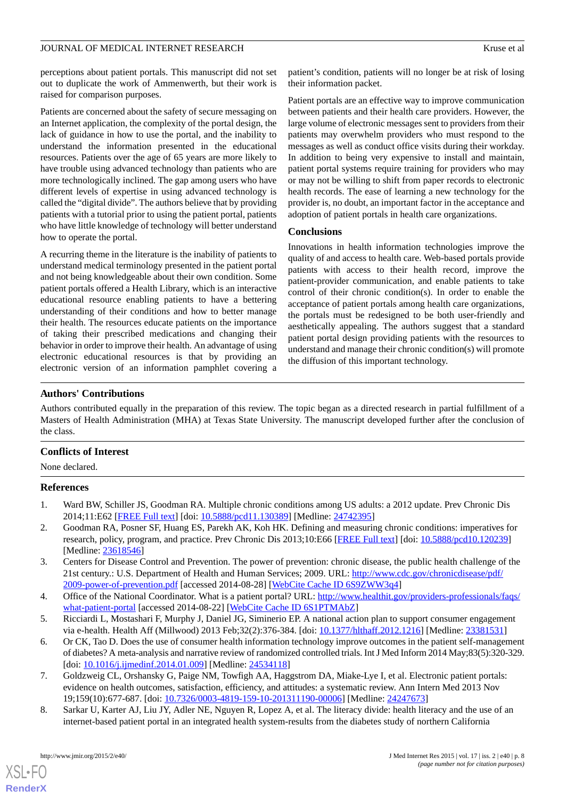perceptions about patient portals. This manuscript did not set out to duplicate the work of Ammenwerth, but their work is raised for comparison purposes.

Patients are concerned about the safety of secure messaging on an Internet application, the complexity of the portal design, the lack of guidance in how to use the portal, and the inability to understand the information presented in the educational resources. Patients over the age of 65 years are more likely to have trouble using advanced technology than patients who are more technologically inclined. The gap among users who have different levels of expertise in using advanced technology is called the "digital divide". The authors believe that by providing patients with a tutorial prior to using the patient portal, patients who have little knowledge of technology will better understand how to operate the portal.

A recurring theme in the literature is the inability of patients to understand medical terminology presented in the patient portal and not being knowledgeable about their own condition. Some patient portals offered a Health Library, which is an interactive educational resource enabling patients to have a bettering understanding of their conditions and how to better manage their health. The resources educate patients on the importance of taking their prescribed medications and changing their behavior in order to improve their health. An advantage of using electronic educational resources is that by providing an electronic version of an information pamphlet covering a

patient's condition, patients will no longer be at risk of losing their information packet.

Patient portals are an effective way to improve communication between patients and their health care providers. However, the large volume of electronic messages sent to providers from their patients may overwhelm providers who must respond to the messages as well as conduct office visits during their workday. In addition to being very expensive to install and maintain, patient portal systems require training for providers who may or may not be willing to shift from paper records to electronic health records. The ease of learning a new technology for the provider is, no doubt, an important factor in the acceptance and adoption of patient portals in health care organizations.

#### **Conclusions**

Innovations in health information technologies improve the quality of and access to health care. Web-based portals provide patients with access to their health record, improve the patient-provider communication, and enable patients to take control of their chronic condition(s). In order to enable the acceptance of patient portals among health care organizations, the portals must be redesigned to be both user-friendly and aesthetically appealing. The authors suggest that a standard patient portal design providing patients with the resources to understand and manage their chronic condition(s) will promote the diffusion of this important technology.

# **Authors' Contributions**

Authors contributed equally in the preparation of this review. The topic began as a directed research in partial fulfillment of a Masters of Health Administration (MHA) at Texas State University. The manuscript developed further after the conclusion of the class.

# <span id="page-7-0"></span>**Conflicts of Interest**

<span id="page-7-1"></span>None declared.

# **References**

- <span id="page-7-2"></span>1. Ward BW, Schiller JS, Goodman RA. Multiple chronic conditions among US adults: a 2012 update. Prev Chronic Dis 2014;11:E62 [\[FREE Full text](http://www.cdc.gov/pcd/issues/2014/13_0389.htm)] [doi: [10.5888/pcd11.130389\]](http://dx.doi.org/10.5888/pcd11.130389) [Medline: [24742395\]](http://www.ncbi.nlm.nih.gov/entrez/query.fcgi?cmd=Retrieve&db=PubMed&list_uids=24742395&dopt=Abstract)
- <span id="page-7-3"></span>2. Goodman RA, Posner SF, Huang ES, Parekh AK, Koh HK. Defining and measuring chronic conditions: imperatives for research, policy, program, and practice. Prev Chronic Dis 2013;10:E66 [[FREE Full text](http://www.cdc.gov/pcd/issues/2013/12_0239.htm)] [doi: [10.5888/pcd10.120239\]](http://dx.doi.org/10.5888/pcd10.120239) [Medline: [23618546](http://www.ncbi.nlm.nih.gov/entrez/query.fcgi?cmd=Retrieve&db=PubMed&list_uids=23618546&dopt=Abstract)]
- <span id="page-7-7"></span><span id="page-7-4"></span>3. Centers for Disease Control and Prevention. The power of prevention: chronic disease, the public health challenge of the 21st century.: U.S. Department of Health and Human Services; 2009. URL: [http://www.cdc.gov/chronicdisease/pdf/](http://www.cdc.gov/chronicdisease/pdf/2009-power-of-prevention.pdf) [2009-power-of-prevention.pdf](http://www.cdc.gov/chronicdisease/pdf/2009-power-of-prevention.pdf) [accessed 2014-08-28] [[WebCite Cache ID 6S9ZWW3q4](http://www.webcitation.org/

                                    6S9ZWW3q4)]
- 4. Office of the National Coordinator. What is a patient portal? URL: [http://www.healthit.gov/providers-professionals/faqs/](http://www.healthit.gov/providers-professionals/faqs/what-patient-portal) [what-patient-portal](http://www.healthit.gov/providers-professionals/faqs/what-patient-portal) [accessed 2014-08-22] [\[WebCite Cache ID 6S1PTMAbZ](http://www.webcitation.org/

                                    6S1PTMAbZ)]
- <span id="page-7-5"></span>5. Ricciardi L, Mostashari F, Murphy J, Daniel JG, Siminerio EP. A national action plan to support consumer engagement via e-health. Health Aff (Millwood) 2013 Feb;32(2):376-384. [doi: [10.1377/hlthaff.2012.1216](http://dx.doi.org/10.1377/hlthaff.2012.1216)] [Medline: [23381531](http://www.ncbi.nlm.nih.gov/entrez/query.fcgi?cmd=Retrieve&db=PubMed&list_uids=23381531&dopt=Abstract)]
- <span id="page-7-6"></span>6. Or CK, Tao D. Does the use of consumer health information technology improve outcomes in the patient self-management of diabetes? A meta-analysis and narrative review of randomized controlled trials. Int J Med Inform 2014 May;83(5):320-329. [doi: [10.1016/j.ijmedinf.2014.01.009\]](http://dx.doi.org/10.1016/j.ijmedinf.2014.01.009) [Medline: [24534118\]](http://www.ncbi.nlm.nih.gov/entrez/query.fcgi?cmd=Retrieve&db=PubMed&list_uids=24534118&dopt=Abstract)
- 7. Goldzweig CL, Orshansky G, Paige NM, Towfigh AA, Haggstrom DA, Miake-Lye I, et al. Electronic patient portals: evidence on health outcomes, satisfaction, efficiency, and attitudes: a systematic review. Ann Intern Med 2013 Nov 19;159(10):677-687. [doi: [10.7326/0003-4819-159-10-201311190-00006](http://dx.doi.org/10.7326/0003-4819-159-10-201311190-00006)] [Medline: [24247673](http://www.ncbi.nlm.nih.gov/entrez/query.fcgi?cmd=Retrieve&db=PubMed&list_uids=24247673&dopt=Abstract)]
- 8. Sarkar U, Karter AJ, Liu JY, Adler NE, Nguyen R, Lopez A, et al. The literacy divide: health literacy and the use of an internet-based patient portal in an integrated health system-results from the diabetes study of northern California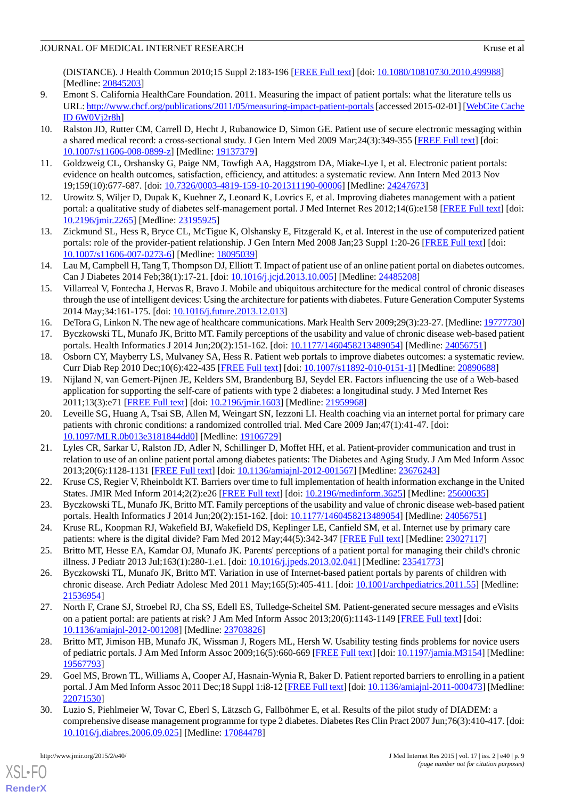(DISTANCE). J Health Commun 2010;15 Suppl 2:183-196 [\[FREE Full text](http://europepmc.org/abstract/MED/20845203)] [doi: [10.1080/10810730.2010.499988\]](http://dx.doi.org/10.1080/10810730.2010.499988) [Medline: [20845203](http://www.ncbi.nlm.nih.gov/entrez/query.fcgi?cmd=Retrieve&db=PubMed&list_uids=20845203&dopt=Abstract)]

- <span id="page-8-0"></span>9. Emont S. California HealthCare Foundation. 2011. Measuring the impact of patient portals: what the literature tells us URL:<http://www.chcf.org/publications/2011/05/measuring-impact-patient-portals> [accessed 2015-02-01] [\[WebCite Cache](http://www.webcitation.org/

                                    6W0Vj2r8h) [ID 6W0Vj2r8h](http://www.webcitation.org/

                                    6W0Vj2r8h)]
- <span id="page-8-1"></span>10. Ralston JD, Rutter CM, Carrell D, Hecht J, Rubanowice D, Simon GE. Patient use of secure electronic messaging within a shared medical record: a cross-sectional study. J Gen Intern Med 2009 Mar;24(3):349-355 [\[FREE Full text\]](http://europepmc.org/abstract/MED/19137379) [doi: [10.1007/s11606-008-0899-z](http://dx.doi.org/10.1007/s11606-008-0899-z)] [Medline: [19137379\]](http://www.ncbi.nlm.nih.gov/entrez/query.fcgi?cmd=Retrieve&db=PubMed&list_uids=19137379&dopt=Abstract)
- <span id="page-8-4"></span><span id="page-8-2"></span>11. Goldzweig CL, Orshansky G, Paige NM, Towfigh AA, Haggstrom DA, Miake-Lye I, et al. Electronic patient portals: evidence on health outcomes, satisfaction, efficiency, and attitudes: a systematic review. Ann Intern Med 2013 Nov 19;159(10):677-687. [doi: [10.7326/0003-4819-159-10-201311190-00006](http://dx.doi.org/10.7326/0003-4819-159-10-201311190-00006)] [Medline: [24247673](http://www.ncbi.nlm.nih.gov/entrez/query.fcgi?cmd=Retrieve&db=PubMed&list_uids=24247673&dopt=Abstract)]
- <span id="page-8-3"></span>12. Urowitz S, Wiljer D, Dupak K, Kuehner Z, Leonard K, Lovrics E, et al. Improving diabetes management with a patient portal: a qualitative study of diabetes self-management portal. J Med Internet Res 2012;14(6):e158 [\[FREE Full text\]](http://www.jmir.org/2012/6/e158/) [doi: [10.2196/jmir.2265](http://dx.doi.org/10.2196/jmir.2265)] [Medline: [23195925](http://www.ncbi.nlm.nih.gov/entrez/query.fcgi?cmd=Retrieve&db=PubMed&list_uids=23195925&dopt=Abstract)]
- <span id="page-8-5"></span>13. Zickmund SL, Hess R, Bryce CL, McTigue K, Olshansky E, Fitzgerald K, et al. Interest in the use of computerized patient portals: role of the provider-patient relationship. J Gen Intern Med 2008 Jan;23 Suppl 1:20-26 [\[FREE Full text](http://europepmc.org/abstract/MED/18095039)] [doi: [10.1007/s11606-007-0273-6\]](http://dx.doi.org/10.1007/s11606-007-0273-6) [Medline: [18095039](http://www.ncbi.nlm.nih.gov/entrez/query.fcgi?cmd=Retrieve&db=PubMed&list_uids=18095039&dopt=Abstract)]
- <span id="page-8-12"></span>14. Lau M, Campbell H, Tang T, Thompson DJ, Elliott T. Impact of patient use of an online patient portal on diabetes outcomes. Can J Diabetes 2014 Feb;38(1):17-21. [doi: [10.1016/j.jcjd.2013.10.005\]](http://dx.doi.org/10.1016/j.jcjd.2013.10.005) [Medline: [24485208](http://www.ncbi.nlm.nih.gov/entrez/query.fcgi?cmd=Retrieve&db=PubMed&list_uids=24485208&dopt=Abstract)]
- <span id="page-8-7"></span><span id="page-8-6"></span>15. Villarreal V, Fontecha J, Hervas R, Bravo J. Mobile and ubiquitous architecture for the medical control of chronic diseases through the use of intelligent devices: Using the architecture for patients with diabetes. Future Generation Computer Systems 2014 May;34:161-175. [doi: [10.1016/j.future.2013.12.013\]](http://dx.doi.org/10.1016/j.future.2013.12.013)
- <span id="page-8-13"></span>16. DeTora G, Linkon N. The new age of healthcare communications. Mark Health Serv 2009;29(3):23-27. [Medline: [19777730\]](http://www.ncbi.nlm.nih.gov/entrez/query.fcgi?cmd=Retrieve&db=PubMed&list_uids=19777730&dopt=Abstract)
- <span id="page-8-8"></span>17. Byczkowski TL, Munafo JK, Britto MT. Family perceptions of the usability and value of chronic disease web-based patient portals. Health Informatics J 2014 Jun;20(2):151-162. [doi: [10.1177/1460458213489054\]](http://dx.doi.org/10.1177/1460458213489054) [Medline: [24056751](http://www.ncbi.nlm.nih.gov/entrez/query.fcgi?cmd=Retrieve&db=PubMed&list_uids=24056751&dopt=Abstract)]
- 18. Osborn CY, Mayberry LS, Mulvaney SA, Hess R. Patient web portals to improve diabetes outcomes: a systematic review. Curr Diab Rep 2010 Dec;10(6):422-435 [[FREE Full text](http://europepmc.org/abstract/MED/20890688)] [doi: [10.1007/s11892-010-0151-1\]](http://dx.doi.org/10.1007/s11892-010-0151-1) [Medline: [20890688](http://www.ncbi.nlm.nih.gov/entrez/query.fcgi?cmd=Retrieve&db=PubMed&list_uids=20890688&dopt=Abstract)]
- <span id="page-8-9"></span>19. Nijland N, van Gemert-Pijnen JE, Kelders SM, Brandenburg BJ, Seydel ER. Factors influencing the use of a Web-based application for supporting the self-care of patients with type 2 diabetes: a longitudinal study. J Med Internet Res 2011;13(3):e71 [\[FREE Full text](http://www.jmir.org/2011/3/e71/)] [doi: [10.2196/jmir.1603\]](http://dx.doi.org/10.2196/jmir.1603) [Medline: [21959968](http://www.ncbi.nlm.nih.gov/entrez/query.fcgi?cmd=Retrieve&db=PubMed&list_uids=21959968&dopt=Abstract)]
- <span id="page-8-10"></span>20. Leveille SG, Huang A, Tsai SB, Allen M, Weingart SN, Iezzoni LI. Health coaching via an internet portal for primary care patients with chronic conditions: a randomized controlled trial. Med Care 2009 Jan;47(1):41-47. [doi: [10.1097/MLR.0b013e3181844dd0](http://dx.doi.org/10.1097/MLR.0b013e3181844dd0)] [Medline: [19106729](http://www.ncbi.nlm.nih.gov/entrez/query.fcgi?cmd=Retrieve&db=PubMed&list_uids=19106729&dopt=Abstract)]
- <span id="page-8-14"></span><span id="page-8-11"></span>21. Lyles CR, Sarkar U, Ralston JD, Adler N, Schillinger D, Moffet HH, et al. Patient-provider communication and trust in relation to use of an online patient portal among diabetes patients: The Diabetes and Aging Study. J Am Med Inform Assoc 2013;20(6):1128-1131 [[FREE Full text](http://jamia.oxfordjournals.org/cgi/pmidlookup?view=long&pmid=23676243)] [doi: [10.1136/amiajnl-2012-001567](http://dx.doi.org/10.1136/amiajnl-2012-001567)] [Medline: [23676243](http://www.ncbi.nlm.nih.gov/entrez/query.fcgi?cmd=Retrieve&db=PubMed&list_uids=23676243&dopt=Abstract)]
- <span id="page-8-19"></span>22. Kruse CS, Regier V, Rheinboldt KT. Barriers over time to full implementation of health information exchange in the United States. JMIR Med Inform 2014;2(2):e26 [\[FREE Full text\]](http://medinform.jmir.org/2014/2/e26/) [doi: [10.2196/medinform.3625](http://dx.doi.org/10.2196/medinform.3625)] [Medline: [25600635\]](http://www.ncbi.nlm.nih.gov/entrez/query.fcgi?cmd=Retrieve&db=PubMed&list_uids=25600635&dopt=Abstract)
- <span id="page-8-16"></span><span id="page-8-15"></span>23. Byczkowski TL, Munafo JK, Britto MT. Family perceptions of the usability and value of chronic disease web-based patient portals. Health Informatics J 2014 Jun;20(2):151-162. [doi: [10.1177/1460458213489054\]](http://dx.doi.org/10.1177/1460458213489054) [Medline: [24056751](http://www.ncbi.nlm.nih.gov/entrez/query.fcgi?cmd=Retrieve&db=PubMed&list_uids=24056751&dopt=Abstract)]
- 24. Kruse RL, Koopman RJ, Wakefield BJ, Wakefield DS, Keplinger LE, Canfield SM, et al. Internet use by primary care patients: where is the digital divide? Fam Med 2012 May;44(5):342-347 [[FREE Full text](http://www.stfm.org/fmhub/fm2012/May/Robin342.pdf)] [Medline: [23027117\]](http://www.ncbi.nlm.nih.gov/entrez/query.fcgi?cmd=Retrieve&db=PubMed&list_uids=23027117&dopt=Abstract)
- <span id="page-8-17"></span>25. Britto MT, Hesse EA, Kamdar OJ, Munafo JK. Parents' perceptions of a patient portal for managing their child's chronic illness. J Pediatr 2013 Jul;163(1):280-1.e1. [doi: [10.1016/j.jpeds.2013.02.041](http://dx.doi.org/10.1016/j.jpeds.2013.02.041)] [Medline: [23541773](http://www.ncbi.nlm.nih.gov/entrez/query.fcgi?cmd=Retrieve&db=PubMed&list_uids=23541773&dopt=Abstract)]
- <span id="page-8-18"></span>26. Byczkowski TL, Munafo JK, Britto MT. Variation in use of Internet-based patient portals by parents of children with chronic disease. Arch Pediatr Adolesc Med 2011 May;165(5):405-411. [doi: [10.1001/archpediatrics.2011.55\]](http://dx.doi.org/10.1001/archpediatrics.2011.55) [Medline: [21536954](http://www.ncbi.nlm.nih.gov/entrez/query.fcgi?cmd=Retrieve&db=PubMed&list_uids=21536954&dopt=Abstract)]
- <span id="page-8-20"></span>27. North F, Crane SJ, Stroebel RJ, Cha SS, Edell ES, Tulledge-Scheitel SM. Patient-generated secure messages and eVisits on a patient portal: are patients at risk? J Am Med Inform Assoc 2013;20(6):1143-1149 [[FREE Full text](http://jamia.oxfordjournals.org/cgi/pmidlookup?view=long&pmid=23703826)] [doi: [10.1136/amiajnl-2012-001208](http://dx.doi.org/10.1136/amiajnl-2012-001208)] [Medline: [23703826](http://www.ncbi.nlm.nih.gov/entrez/query.fcgi?cmd=Retrieve&db=PubMed&list_uids=23703826&dopt=Abstract)]
- <span id="page-8-21"></span>28. Britto MT, Jimison HB, Munafo JK, Wissman J, Rogers ML, Hersh W. Usability testing finds problems for novice users of pediatric portals. J Am Med Inform Assoc 2009;16(5):660-669 [\[FREE Full text](http://jamia.oxfordjournals.org/cgi/pmidlookup?view=long&pmid=19567793)] [doi: [10.1197/jamia.M3154\]](http://dx.doi.org/10.1197/jamia.M3154) [Medline: [19567793](http://www.ncbi.nlm.nih.gov/entrez/query.fcgi?cmd=Retrieve&db=PubMed&list_uids=19567793&dopt=Abstract)]
- 29. Goel MS, Brown TL, Williams A, Cooper AJ, Hasnain-Wynia R, Baker D. Patient reported barriers to enrolling in a patient portal. J Am Med Inform Assoc 2011 Dec;18 Suppl 1:i8-12 [\[FREE Full text](http://jamia.oxfordjournals.org/cgi/pmidlookup?view=long&pmid=22071530)] [doi: [10.1136/amiajnl-2011-000473](http://dx.doi.org/10.1136/amiajnl-2011-000473)] [Medline: [22071530](http://www.ncbi.nlm.nih.gov/entrez/query.fcgi?cmd=Retrieve&db=PubMed&list_uids=22071530&dopt=Abstract)]
- 30. Luzio S, Piehlmeier W, Tovar C, Eberl S, Lätzsch G, Fallböhmer E, et al. Results of the pilot study of DIADEM: a comprehensive disease management programme for type 2 diabetes. Diabetes Res Clin Pract 2007 Jun;76(3):410-417. [doi: [10.1016/j.diabres.2006.09.025](http://dx.doi.org/10.1016/j.diabres.2006.09.025)] [Medline: [17084478](http://www.ncbi.nlm.nih.gov/entrez/query.fcgi?cmd=Retrieve&db=PubMed&list_uids=17084478&dopt=Abstract)]